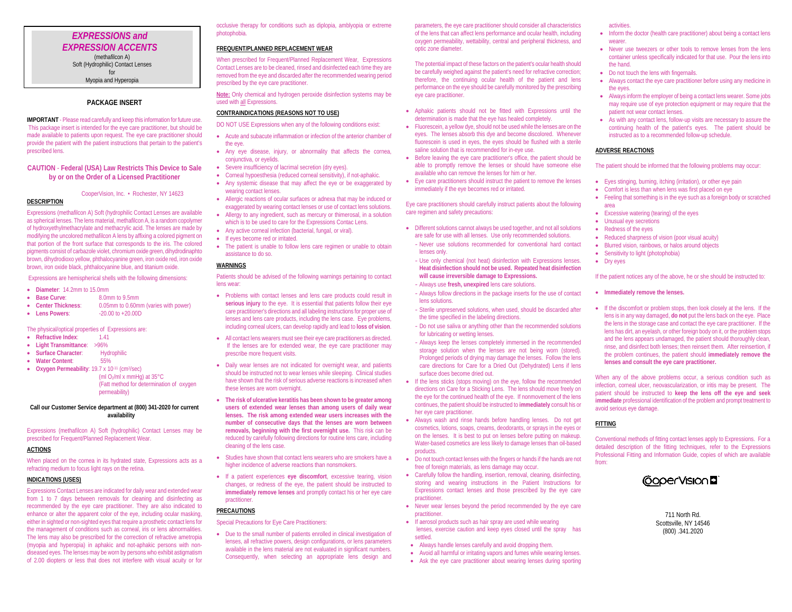## *EXPRESSIONS and EXPRESSION ACCENTS* (methafilcon A) Soft (Hydrophilic) Contact Lenses for Myopia and Hyperopia

## **PACKAGE INSERT**

**IMPORTANT** - Please read carefully and keep this information for future use. This package insert is intended for the eye care practitioner, but should be made available to patients upon request. The eye care practitioner should provide the patient with the patient instructions that pertain to the patient's prescribed lens.

### **CAUTION** - **Federal (USA) Law Restricts This Device to Sale by or on the Order of a Licensed Practitioner**

#### CooperVision, Inc. • Rochester, NY 14623

# **DESCRIPTION**

Expressions (methafilcon A) Soft (hydrophilic Contact Lenses are available as spherical lenses. The lens material, methafilcon A, is a random copolymer of hydroxyethylmethacrylate and methacrylic acid. The lenses are made by modifying the uncolored methafilcon A lens by affixing a colored pigment on that portion of the front surface that corresponds to the iris. The colored pigments consist of carbazole violet, chromium oxide green, dihydrodinaphto brown, dihydrodioxo yellow, phthalocyanine green, iron oxide red, iron oxide brown, iron oxide black, phthalocyanine blue, and titanium oxide.

Expressions are hemispherical shells with the following dimensions:

- **Diameter**: 14.2mm to 15.0mm
- **Base Curve:** 8.0mm to 9.5mm
- **Center Thickness**: 0.05mm to 0.60mm (varies with power) • Lens Powers:  $-20.00$  to +20.00D

The physical/optical properties of Expressions are:

- **Refractive Index**: 1.41
- **Light Transmittance**: >96%
- **Surface Character**: Hydrophilic
- **Water Content**: 55%

• **Oxygen Permeability**: 19.7 x 10-11 (cm2/sec) (ml  $O_2$ /ml x mmHg) at 35 $\degree$ C (Fatt method for determination of oxygen permeability)

## **Call our Customer Service department at (800) 341-2020 for current availability**

Expressions (methafilcon A) Soft (hydrophilic) Contact Lenses may be prescribed for Frequent/Planned Replacement Wear.

#### **ACTIONS**

When placed on the cornea in its hydrated state. Expressions acts as a refracting medium to focus light rays on the retina.

## **INDICATIONS (USES)**

Expressions Contact Lenses are indicated for daily wear and extended wear from 1 to 7 days between removals for cleaning and disinfecting as recommended by the eye care practitioner. They are also indicated to enhance or alter the apparent color of the eye, including ocular masking, either in sighted or non-sighted eyes that require a prosthetic contact lens for the management of conditions such as corneal, iris or lens abnormalities. The lens may also be prescribed for the correction of refractive ametropia (myopia and hyperopia) in aphakic and not-aphakic persons with nondiseased eyes. The lenses may be worn by persons who exhibit astigmatism of 2.00 diopters or less that does not interfere with visual acuity or for occlusive therapy for conditions such as diplopia, amblyopia or extreme photophobia.

#### **FREQUENT/PLANNED REPLACEMENT WEAR**

When prescribed for Frequent/Planned Replacement Wear, Expressions Contact Lenses are to be cleaned, rinsed and disinfected each time they are removed from the eye and discarded after the recommended wearing period prescribed by the eye care practitioner.

**Note:** Only chemical and hydrogen peroxide disinfection systems may be used with all Expressions.

### **CONTRAINDICATIONS (REASONS NOT TO USE)**

DO NOT USE Expressions when any of the following conditions exist:

- Acute and subacute inflammation or infection of the anterior chamber of the eye. • Any eye disease, injury, or abnormality that affects the cornea,
- conjunctiva, or eyelids. • Severe insufficiency of lacrimal secretion (dry eyes).
- Corneal hypoesthesia (reduced corneal sensitivity), if not-aphakic.
- Any systemic disease that may affect the eye or be exaggerated by wearing contact lenses.
- Allergic reactions of ocular surfaces or adnexa that may be induced or exaggerated by wearing contact lenses or use of contact lens solutions.
- Allergy to any ingredient, such as mercury or thimerosal, in a solution which is to be used to care for the Expressions Contac Lens.
- Any active corneal infection (bacterial, fungal, or viral).
- If eyes become red or irritated.
- The patient is unable to follow lens care regimen or unable to obtain assistance to do so.

#### **WARNINGS**

Patients should be advised of the following warnings pertaining to contact lens wear:

- Problems with contact lenses and lens care products could result in **serious injury** to the eye. It is essential that patients follow their eye care practitioner's directions and all labeling instructions for proper use of lenses and lens care products, including the lens case. Eye problems, including corneal ulcers, can develop rapidly and lead to **loss of vision**.
- All contact lens wearers must see their eye care practitioners as directed. If the lenses are for extended wear, the eye care practitioner may prescribe more frequent visits.
- Daily wear lenses are not indicated for overnight wear, and patients should be instructed not to wear lenses while sleeping. Clinical studies have shown that the risk of serious adverse reactions is increased when these lenses are worn overnight.
- **The risk of ulcerative keratitis has been shown to be greater among users of extended wear lenses than among users of daily wear lenses. The risk among extended wear users increases with the number of consecutive days that the lenses are worn between removals, beginning with the first overnight use.** This risk can be reduced by carefully following directions for routine lens care, including cleaning of the lens case.
- Studies have shown that contact lens wearers who are smokers have a higher incidence of adverse reactions than nonsmokers.
- If a patient experiences **eye discomfort**, excessive tearing, vision changes, or redness of the eye, the patient should be instructed to **immediately remove lenses** and promptly contact his or her eye care practitioner.

### **PRECAUTIONS**

Special Precautions for Eye Care Practitioners:

• Due to the small number of patients enrolled in clinical investigation of lenses, all refractive powers, design configurations, or lens parameters available in the lens material are not evaluated in significant numbers. Consequently, when selecting an appropriate lens design and

parameters, the eye care practitioner should consider all characteristics of the lens that can affect lens performance and ocular health, including oxygen permeability, wettability, central and peripheral thickness, and optic zone diameter.

The potential impact of these factors on the patient's ocular health should be carefully weighed against the patient's need for refractive correction; therefore, the continuing ocular health of the patient and lens performance on the eye should be carefully monitored by the prescribing eye care practitioner.

- Aphakic patients should not be fitted with Expressions until the determination is made that the eye has healed completely.
- Fluorescein, a yellow dye, should not be used while the lenses are on the eyes. The lenses absorb this dye and become discolored. Whenever fluorescein is used in eyes, the eyes should be flushed with a sterile saline solution that is recommended for in-eye use.
- Before leaving the eye care practitioner's office, the patient should be able to promptly remove the lenses or should have someone else available who can remove the lenses for him or her.
- Eye care practitioners should instruct the patient to remove the lenses immediately if the eye becomes red or irritated.

#### Eye care practitioners should carefully instruct patients about the following care regimen and safety precautions:

- Different solutions cannot always be used together, and not all solutions are safe for use with all lenses. Use only recommended solutions.
- Never use solutions recommended for conventional hard contact lenses only.
- Use only chemical (not heat) disinfection with Expressions lenses. **Heat disinfection should not be used. Repeated heat disinfection will cause irreversible damage to Expressions.**
- Always use **fresh, unexpired** lens care solutions.
- Always follow directions in the package inserts for the use of contact lens solutions.
- Sterile unpreserved solutions, when used, should be discarded after the time specified in the labeling directions.
- Do not use saliva or anything other than the recommended solutions for lubricating or wetting lenses.
- Always keep the lenses completely immersed in the recommended storage solution when the lenses are not being worn (stored). Prolonged periods of drying may damage the lenses. Follow the lens care directions for Care for a Dried Out (Dehydrated) Lens if lens surface does become dried out.
- If the lens sticks (stops moving) on the eye, follow the recommended directions on Care for a Sticking Lens. The lens should move freely on the eye for the continued health of the eye. If nonmovement of the lens continues, the patient should be instructed to **immediately** consult his or her eye care practitioner.
- Always wash and rinse hands before handling lenses. Do not get cosmetics, lotions, soaps, creams, deodorants, or sprays in the eyes or on the lenses. It is best to put on lenses before putting on makeup. Water-based cosmetics are less likely to damage lenses than oil-based products.
- Do not touch contact lenses with the fingers or hands if the hands are not free of foreign materials, as lens damage may occur.
- Carefully follow the handling, insertion, removal, cleaning, disinfecting, storing and wearing instructions in the Patient Instructions for Expressions contact lenses and those prescribed by the eye care practitioner.
- Never wear lenses beyond the period recommended by the eye care practitioner.
- If aerosol products such as hair spray are used while wearing lenses, exercise caution and keep eyes closed until the spray has settled.
- Always handle lenses carefully and avoid dropping them.
- Avoid all harmful or irritating vapors and fumes while wearing lenses.
- Ask the eye care practitioner about wearing lenses during sporting

### activities.

- Inform the doctor (health care practitioner) about being a contact lens wearer
- Never use tweezers or other tools to remove lenses from the lens container unless specifically indicated for that use. Pour the lens into the hand.
- Do not touch the lens with fingernails.
- Always contact the eye care practitioner before using any medicine in the eyes.
- Always inform the employer of being a contact lens wearer. Some jobs may require use of eye protection equipment or may require that the patient not wear contact lenses.
- As with any contact lens, follow-up visits are necessary to assure the continuing health of the patient's eyes. The patient should be instructed as to a recommended follow-up schedule.

#### **ADVERSE REACTIONS**

The patient should be informed that the following problems may occur:

- Eyes stinging, burning, itching (irritation), or other eye pain
- Comfort is less than when lens was first placed on eye
- Feeling that something is in the eye such as a foreign body or scratched area
- Excessive watering (tearing) of the eyes
- Unusual eye secretions
- Redness of the eyes
- Reduced sharpness of vision (poor visual acuity)
- Blurred vision, rainbows, or halos around objects
- Sensitivity to light (photophobia)
- Dry eyes

If the patient notices any of the above, he or she should be instructed to:

- **Immediately remove the lenses.**
- If the discomfort or problem stops, then look closely at the lens. If the lens is in any way damaged, **do not** put the lens back on the eye. Place the lens in the storage case and contact the eye care practitioner. If the lens has dirt, an eyelash, or other foreign body on it, or the problem stops and the lens appears undamaged, the patient should thoroughly clean, rinse, and disinfect both lenses; then reinsert them. After reinsertion, if the problem continues, the patient should **immediately remove the lenses and consult the eye care practitioner.**

When any of the above problems occur, a serious condition such as infection, corneal ulcer, neovascularization, or iritis may be present. The patient should be instructed to **keep the lens off the eye and seek immediate** professional identification of the problem and prompt treatment to avoid serious eye damage.

### **FITTING**

Conventional methods of fitting contact lenses apply to Expressions. For a detailed description of the fitting techniques, refer to the Expressions Professional Fitting and Information Guide, copies of which are available from:



711 North Rd. Scottsville, NY 14546 (800) .341.2020